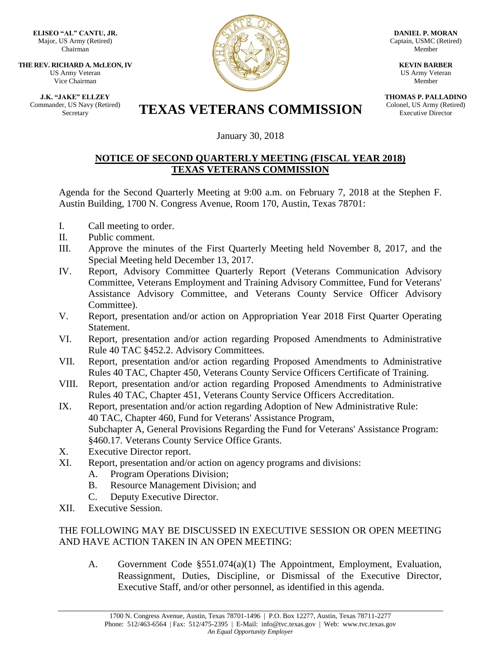**ELISEO "AL" CANTU, JR.** Major, US Army (Retired) Chairman

**THE REV. RICHARD A. McLEON, IV** US Army Veteran Vice Chairman

**J.K. "JAKE" ELLZEY** Commander, US Navy (Retired)



**DANIEL P. MORAN** Captain, USMC (Retired) Member

> **KEVIN BARBER** US Army Veteran Member

**THOMAS P. PALLADINO** Colonel, US Army (Retired) Executive Director

## Er, US Navy (Retired) **TEXAS VETERANS COMMISSION**

January 30, 2018

## **NOTICE OF SECOND QUARTERLY MEETING (FISCAL YEAR 2018) TEXAS VETERANS COMMISSION**

Agenda for the Second Quarterly Meeting at 9:00 a.m. on February 7, 2018 at the Stephen F. Austin Building, 1700 N. Congress Avenue, Room 170, Austin, Texas 78701:

- I. Call meeting to order.
- II. Public comment.
- III. Approve the minutes of the First Quarterly Meeting held November 8, 2017, and the Special Meeting held December 13, 2017.
- IV. Report, Advisory Committee Quarterly Report (Veterans Communication Advisory Committee, Veterans Employment and Training Advisory Committee, Fund for Veterans' Assistance Advisory Committee, and Veterans County Service Officer Advisory Committee).
- V. Report, presentation and/or action on Appropriation Year 2018 First Quarter Operating Statement.
- VI. Report, presentation and/or action regarding Proposed Amendments to Administrative Rule 40 TAC §452.2. Advisory Committees.
- VII. Report, presentation and/or action regarding Proposed Amendments to Administrative Rules 40 TAC, Chapter 450, Veterans County Service Officers Certificate of Training.
- VIII. Report, presentation and/or action regarding Proposed Amendments to Administrative Rules 40 TAC, Chapter 451, Veterans County Service Officers Accreditation.
- IX. Report, presentation and/or action regarding Adoption of New Administrative Rule: 40 TAC, Chapter 460, Fund for Veterans' Assistance Program, Subchapter A, General Provisions Regarding the Fund for Veterans' Assistance Program: §460.17. Veterans County Service Office Grants.
- X. Executive Director report.
- XI. Report, presentation and/or action on agency programs and divisions:
	- A. Program Operations Division;
	- B. Resource Management Division; and
	- C. Deputy Executive Director.
- XII. Executive Session.

## THE FOLLOWING MAY BE DISCUSSED IN EXECUTIVE SESSION OR OPEN MEETING AND HAVE ACTION TAKEN IN AN OPEN MEETING:

A. Government Code §551.074(a)(1) The Appointment, Employment, Evaluation, Reassignment, Duties, Discipline, or Dismissal of the Executive Director, Executive Staff, and/or other personnel, as identified in this agenda.